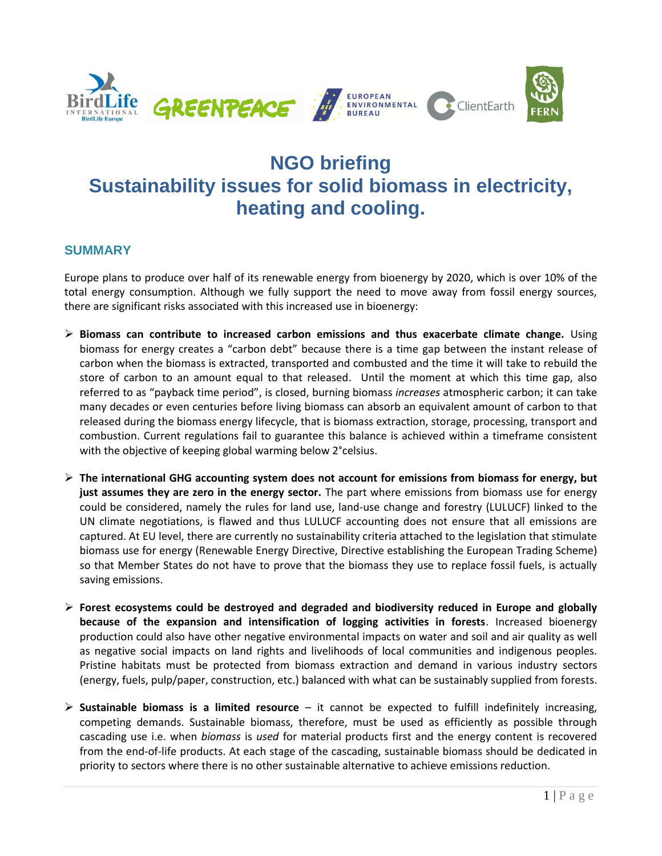

# **NGO briefing Sustainability issues for solid biomass in electricity, heating and cooling.**

# **SUMMARY**

Europe plans to produce over half of its renewable energy from bioenergy by 2020, which is over 10% of the total energy consumption. Although we fully support the need to move away from fossil energy sources, there are significant risks associated with this increased use in bioenergy:

- **Biomass can contribute to increased carbon emissions and thus exacerbate climate change.** Using biomass for energy creates a "carbon debt" because there is a time gap between the instant release of carbon when the biomass is extracted, transported and combusted and the time it will take to rebuild the store of carbon to an amount equal to that released. Until the moment at which this time gap, also referred to as "payback time period", is closed, burning biomass *increases* atmospheric carbon; it can take many decades or even centuries before living biomass can absorb an equivalent amount of carbon to that released during the biomass energy lifecycle, that is biomass extraction, storage, processing, transport and combustion. Current regulations fail to guarantee this balance is achieved within a timeframe consistent with the objective of keeping global warming below 2°celsius.
- **The international GHG accounting system does not account for emissions from biomass for energy, but just assumes they are zero in the energy sector.** The part where emissions from biomass use for energy could be considered, namely the rules for land use, land-use change and forestry (LULUCF) linked to the UN climate negotiations, is flawed and thus LULUCF accounting does not ensure that all emissions are captured. At EU level, there are currently no sustainability criteria attached to the legislation that stimulate biomass use for energy (Renewable Energy Directive, Directive establishing the European Trading Scheme) so that Member States do not have to prove that the biomass they use to replace fossil fuels, is actually saving emissions.
- **Forest ecosystems could be destroyed and degraded and biodiversity reduced in Europe and globally because of the expansion and intensification of logging activities in forests**. Increased bioenergy production could also have other negative environmental impacts on water and soil and air quality as well as negative social impacts on land rights and livelihoods of local communities and indigenous peoples. Pristine habitats must be protected from biomass extraction and demand in various industry sectors (energy, fuels, pulp/paper, construction, etc.) balanced with what can be sustainably supplied from forests.
- **Sustainable biomass is a limited resource** it cannot be expected to fulfill indefinitely increasing, competing demands. Sustainable biomass, therefore, must be used as efficiently as possible through cascading use i.e. when *biomass* is *used* for material products first and the energy content is recovered from the end-of-life products. At each stage of the cascading, sustainable biomass should be dedicated in priority to sectors where there is no other sustainable alternative to achieve emissions reduction.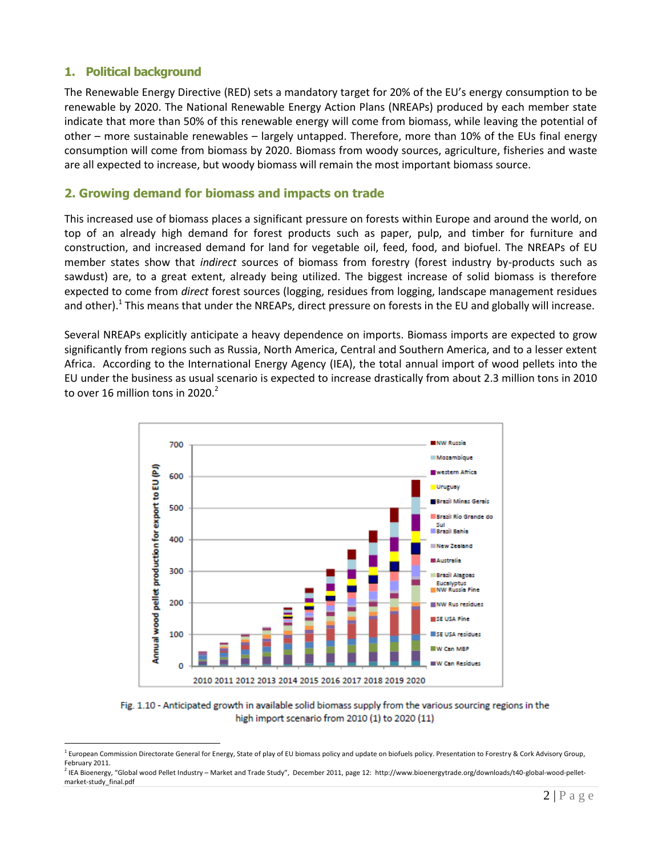# **1. Political background**

 $\overline{a}$ 

The Renewable Energy Directive (RED) sets a mandatory target for 20% of the EU's energy consumption to be renewable by 2020. The National Renewable Energy Action Plans (NREAPs) produced by each member state indicate that more than 50% of this renewable energy will come from biomass, while leaving the potential of other – more sustainable renewables – largely untapped. Therefore, more than 10% of the EUs final energy consumption will come from biomass by 2020. Biomass from woody sources, agriculture, fisheries and waste are all expected to increase, but woody biomass will remain the most important biomass source.

# **2. Growing demand for biomass and impacts on trade**

This increased use of biomass places a significant pressure on forests within Europe and around the world, on top of an already high demand for forest products such as paper, pulp, and timber for furniture and construction, and increased demand for land for vegetable oil, feed, food, and biofuel. The NREAPs of EU member states show that *indirect* sources of biomass from forestry (forest industry by-products such as sawdust) are, to a great extent, already being utilized. The biggest increase of solid biomass is therefore expected to come from *direct* forest sources (logging, residues from logging, landscape management residues and other).<sup>1</sup> This means that under the NREAPs, direct pressure on forests in the EU and globally will increase.

Several NREAPs explicitly anticipate a heavy dependence on imports. Biomass imports are expected to grow significantly from regions such as Russia, North America, Central and Southern America, and to a lesser extent Africa. According to the International Energy Agency (IEA), the total annual import of wood pellets into the EU under the business as usual scenario is expected to increase drastically from about 2.3 million tons in 2010 to over 16 million tons in 2020. $^2$ 



Fig. 1.10 - Anticipated growth in available solid biomass supply from the various sourcing regions in the high import scenario from 2010 (1) to 2020 (11)

<sup>&</sup>lt;sup>1</sup> European Commission Directorate General for Energy, State of play of EU biomass policy and update on biofuels policy. Presentation to Forestry & Cork Advisory Group, February 2011.

<sup>2</sup> IEA Bioenergy, "Global wood Pellet Industry – Market and Trade Study", December 2011, page 12: [http://www.bioenergytrade.org/downloads/t40-global-wood-pellet](http://www.bioenergytrade.org/downloads/t40-global-wood-pellet-market-study_final.pdf)[market-study\\_final.pdf](http://www.bioenergytrade.org/downloads/t40-global-wood-pellet-market-study_final.pdf)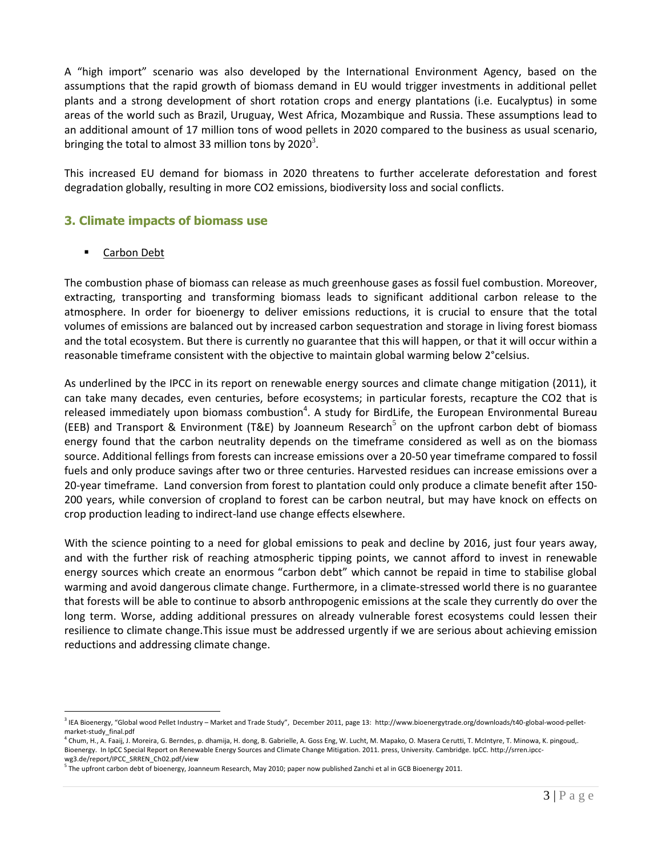A "high import" scenario was also developed by the International Environment Agency, based on the assumptions that the rapid growth of biomass demand in EU would trigger investments in additional pellet plants and a strong development of short rotation crops and energy plantations (i.e. Eucalyptus) in some areas of the world such as Brazil, Uruguay, West Africa, Mozambique and Russia. These assumptions lead to an additional amount of 17 million tons of wood pellets in 2020 compared to the business as usual scenario, bringing the total to almost 33 million tons by 2020<sup>3</sup>.

This increased EU demand for biomass in 2020 threatens to further accelerate deforestation and forest degradation globally, resulting in more CO2 emissions, biodiversity loss and social conflicts.

# **3. Climate impacts of biomass use**

#### Carbon Debt

The combustion phase of biomass can release as much greenhouse gases as fossil fuel combustion. Moreover, extracting, transporting and transforming biomass leads to significant additional carbon release to the atmosphere. In order for bioenergy to deliver emissions reductions, it is crucial to ensure that the total volumes of emissions are balanced out by increased carbon sequestration and storage in living forest biomass and the total ecosystem. But there is currently no guarantee that this will happen, or that it will occur within a reasonable timeframe consistent with the objective to maintain global warming below 2°celsius.

As underlined by the IPCC in its report on renewable energy sources and climate change mitigation (2011), it can take many decades, even centuries, before ecosystems; in particular forests, recapture the CO2 that is released immediately upon biomass combustion<sup>4</sup>. A study for BirdLife, the European Environmental Bureau (EEB) and Transport & Environment (T&E) by Joanneum Research<sup>5</sup> on the upfront carbon debt of biomass energy found that the carbon neutrality depends on the timeframe considered as well as on the biomass source. Additional fellings from forests can increase emissions over a 20-50 year timeframe compared to fossil fuels and only produce savings after two or three centuries. Harvested residues can increase emissions over a 20-year timeframe. Land conversion from forest to plantation could only produce a climate benefit after 150- 200 years, while conversion of cropland to forest can be carbon neutral, but may have knock on effects on crop production leading to indirect-land use change effects elsewhere.

With the science pointing to a need for global emissions to peak and decline by 2016, just four years away, and with the further risk of reaching atmospheric tipping points, we cannot afford to invest in renewable energy sources which create an enormous "carbon debt" which cannot be repaid in time to stabilise global warming and avoid dangerous climate change. Furthermore, in a climate-stressed world there is no guarantee that forests will be able to continue to absorb anthropogenic emissions at the scale they currently do over the long term. Worse, adding additional pressures on already vulnerable forest ecosystems could lessen their resilience to climate change.This issue must be addressed urgently if we are serious about achieving emission reductions and addressing climate change.

 $\overline{a}$ 3 IEA Bioenergy, "Global wood Pellet Industry – Market and Trade Study", December 2011, page 13: [http://www.bioenergytrade.org/downloads/t40-global-wood-pellet](http://www.bioenergytrade.org/downloads/t40-global-wood-pellet-market-study_final.pdf)[market-study\\_final.pdf](http://www.bioenergytrade.org/downloads/t40-global-wood-pellet-market-study_final.pdf)

Chum, H., A. Faaij, J. Moreira, G. Berndes, p. dhamija, H. dong, B. Gabrielle, A. Goss Eng, W. Lucht, M. Mapako, O. Masera Cerutti, T. McIntyre, T. Minowa, K. pingoud,. Bioenergy. In IpCC Special Report on Renewable Energy Sources and Climate Change Mitigation. 2011. press, University. Cambridge. IpCC. http://srren.ipccwg3.de/report/IPCC\_SRREN\_Ch02.pdf/view

<sup>&</sup>lt;sup>5</sup> The upfront carbon debt of bioenergy, Joanneum Research, May 2010; paper now published Zanchi et al in GCB Bioenergy 2011.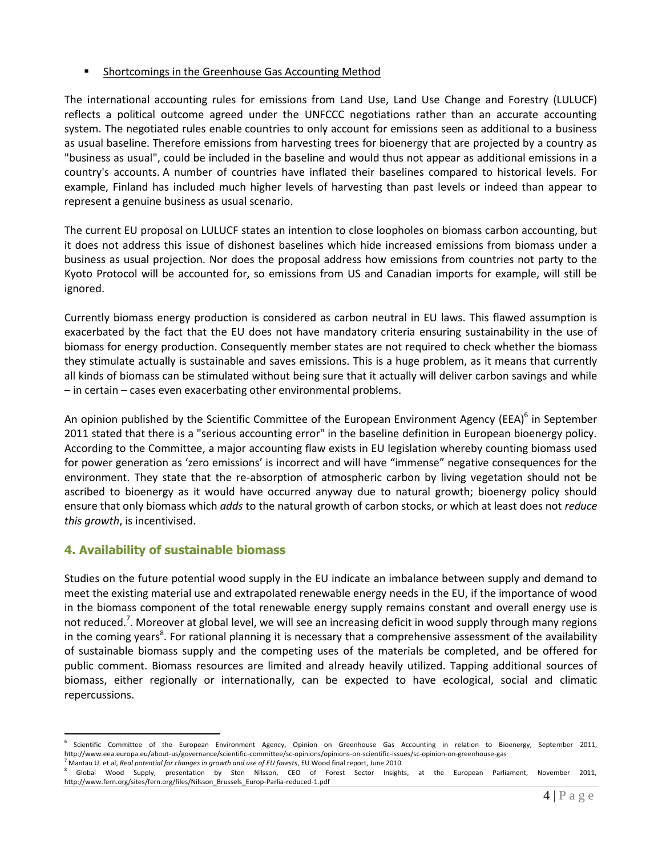## Shortcomings in the Greenhouse Gas Accounting Method

The international accounting rules for emissions from Land Use, Land Use Change and Forestry (LULUCF) reflects a political outcome agreed under the UNFCCC negotiations rather than an accurate accounting system. The negotiated rules enable countries to only account for emissions seen as additional to a business as usual baseline. Therefore emissions from harvesting trees for bioenergy that are projected by a country as "business as usual", could be included in the baseline and would thus not appear as additional emissions in a country's accounts. A number of countries have inflated their baselines compared to historical levels. For example, Finland has included much higher levels of harvesting than past levels or indeed than appear to represent a genuine business as usual scenario.

The current EU proposal on LULUCF states an intention to close loopholes on biomass carbon accounting, but it does not address this issue of dishonest baselines which hide increased emissions from biomass under a business as usual projection. Nor does the proposal address how emissions from countries not party to the Kyoto Protocol will be accounted for, so emissions from US and Canadian imports for example, will still be ignored.

Currently biomass energy production is considered as carbon neutral in EU laws. This flawed assumption is exacerbated by the fact that the EU does not have mandatory criteria ensuring sustainability in the use of biomass for energy production. Consequently member states are not required to check whether the biomass they stimulate actually is sustainable and saves emissions. This is a huge problem, as it means that currently all kinds of biomass can be stimulated without being sure that it actually will deliver carbon savings and while – in certain – cases even exacerbating other environmental problems.

An opinion published by the Scientific Committee of the European Environment Agency (EEA)<sup>6</sup> in September 2011 stated that there is a "serious accounting error" in the baseline definition in European bioenergy policy. According to the Committee, a major accounting flaw exists in EU legislation whereby counting biomass used for power generation as 'zero emissions' is incorrect and will have "immense" negative consequences for the environment. They state that the re-absorption of atmospheric carbon by living vegetation should not be ascribed to bioenergy as it would have occurred anyway due to natural growth; bioenergy policy should ensure that only biomass which *adds* to the natural growth of carbon stocks, or which at least does not *reduce this growth*, is incentivised.

# **4. Availability of sustainable biomass**

 $\overline{a}$ 

Studies on the future potential wood supply in the EU indicate an imbalance between supply and demand to meet the existing material use and extrapolated renewable energy needs in the EU, if the importance of wood in the biomass component of the total renewable energy supply remains constant and overall energy use is not reduced.<sup>7</sup>. Moreover at global level, we will see an increasing deficit in wood supply through many regions in the coming years<sup>8</sup>. For rational planning it is necessary that a comprehensive assessment of the availability of sustainable biomass supply and the competing uses of the materials be completed, and be offered for public comment. Biomass resources are limited and already heavily utilized. Tapping additional sources of biomass, either regionally or internationally, can be expected to have ecological, social and climatic repercussions.

<sup>6</sup> Scientific Committee of the European Environment Agency, Opinion on Greenhouse Gas Accounting in relation to Bioenergy, September 2011, <http://www.eea.europa.eu/about-us/governance/scientific-committee/sc-opinions/opinions-on-scientific-issues/sc-opinion-on-greenhouse-gas> <sup>7</sup> Mantau U. et al, *Real potential for changes in growth and use of EU forests*, EU Wood final report, June 2010.

<sup>8</sup> Global Wood Supply, presentation by Sten Nilsson, CEO of Forest Sector Insights, at the European Parliament, November 2011, [http://www.fern.org/sites/fern.org/files/Nilsson\\_Brussels\\_Europ-Parlia-reduced-1.pdf](http://www.fern.org/sites/fern.org/files/Nilsson_Brussels_Europ-Parlia-reduced-1.pdf)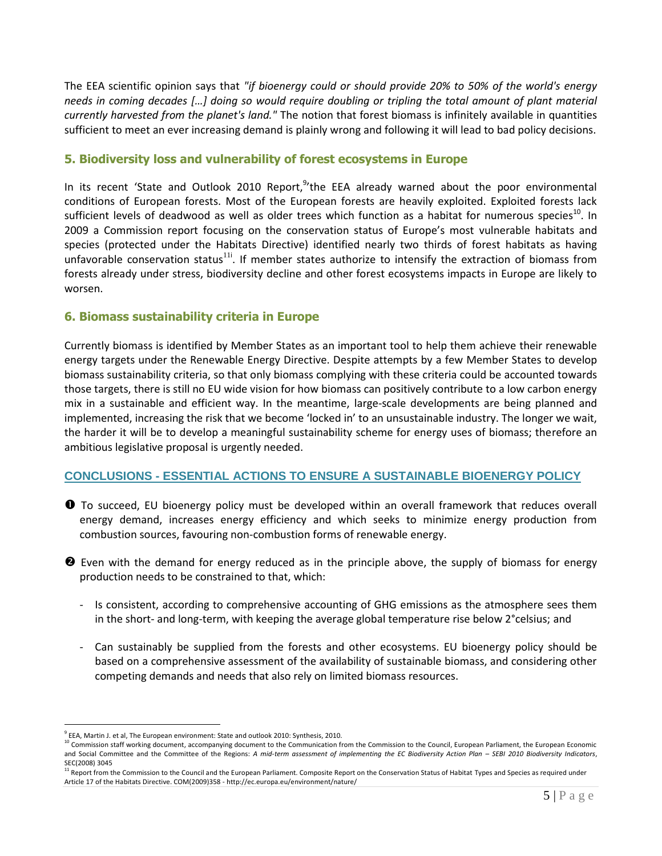The EEA scientific opinion says that *"if bioenergy could or should provide 20% to 50% of the world's energy needs in coming decades […] doing so would require doubling or tripling the total amount of plant material currently harvested from the planet's land."* The notion that forest biomass is infinitely available in quantities sufficient to meet an ever increasing demand is plainly wrong and following it will lead to bad policy decisions.

## **5. Biodiversity loss and vulnerability of forest ecosystems in Europe**

In its recent 'State and Outlook 2010 Report, <sup>9</sup> the EEA already warned about the poor environmental conditions of European forests. Most of the European forests are heavily exploited. Exploited forests lack sufficient levels of deadwood as well as older trees which function as a habitat for numerous species<sup>10</sup>. In 2009 a Commission report focusing on the conservation status of Europe's most vulnerable habitats and species (protected under the Habitats Directive) identified nearly two thirds of forest habitats as having unfavorable conservation status<sup>11i</sup>. If member states authorize to intensify the extraction of biomass from forests already under stress, biodiversity decline and other forest ecosystems impacts in Europe are likely to worsen.

## **6. Biomass sustainability criteria in Europe**

Currently biomass is identified by Member States as an important tool to help them achieve their renewable energy targets under the Renewable Energy Directive. Despite attempts by a few Member States to develop biomass sustainability criteria, so that only biomass complying with these criteria could be accounted towards those targets, there is still no EU wide vision for how biomass can positively contribute to a low carbon energy mix in a sustainable and efficient way. In the meantime, large-scale developments are being planned and implemented, increasing the risk that we become 'locked in' to an unsustainable industry. The longer we wait, the harder it will be to develop a meaningful sustainability scheme for energy uses of biomass; therefore an ambitious legislative proposal is urgently needed.

# **CONCLUSIONS - ESSENTIAL ACTIONS TO ENSURE A SUSTAINABLE BIOENERGY POLICY**

- **O** To succeed, EU bioenergy policy must be developed within an overall framework that reduces overall energy demand, increases energy efficiency and which seeks to minimize energy production from combustion sources, favouring non-combustion forms of renewable energy.
- **E** Even with the demand for energy reduced as in the principle above, the supply of biomass for energy production needs to be constrained to that, which:
	- Is consistent, according to comprehensive accounting of GHG emissions as the atmosphere sees them in the short- and long-term, with keeping the average global temperature rise below 2°celsius; and
	- Can sustainably be supplied from the forests and other ecosystems. EU bioenergy policy should be based on a comprehensive assessment of the availability of sustainable biomass, and considering other competing demands and needs that also rely on limited biomass resources.

 $\overline{a}$ 

<sup>&</sup>lt;sup>9</sup> EEA, Martin J. et al, The European environment: State and outlook 2010: Synthesis, 2010.

<sup>10</sup> Commission staff working document, accompanying document to the Communication from the Commission to the Council, European Parliament, the European Economic and Social Committee and the Committee of the Regions: A mid-term assessment of implementing the EC Biodiversity Action Plan - SEBI 2010 Biodiversity Indicators, SEC(2008) 3045

Report from the Commission to the Council and the European Parliament. Composite Report on the Conservation Status of Habitat Types and Species as required under Article 17 of the Habitats Directive. COM(2009)358 - <http://ec.europa.eu/environment/nature/>